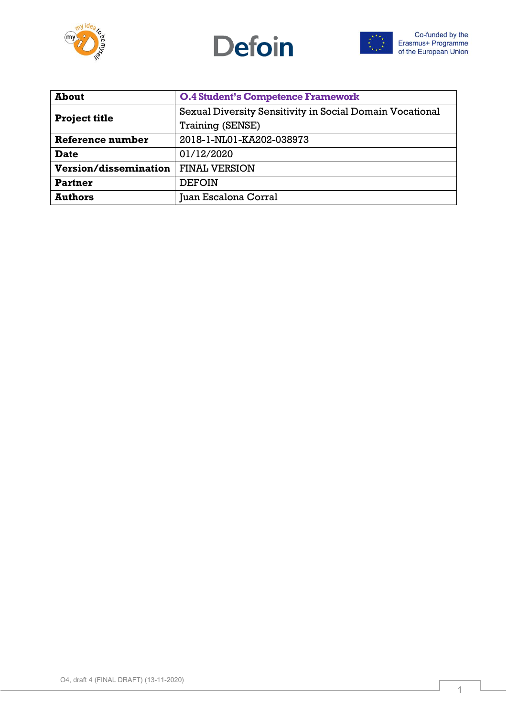





| <b>About</b>                 | <b>O.4 Student's Competence Framework</b>                |
|------------------------------|----------------------------------------------------------|
| <b>Project title</b>         | Sexual Diversity Sensitivity in Social Domain Vocational |
|                              | Training (SENSE)                                         |
| Reference number             | 2018-1-NL01-KA202-038973                                 |
| <b>Date</b>                  | 01/12/2020                                               |
| <b>Version/dissemination</b> | <b>FINAL VERSION</b>                                     |
| Partner                      | <b>DEFOIN</b>                                            |
| <b>Authors</b>               | Juan Escalona Corral                                     |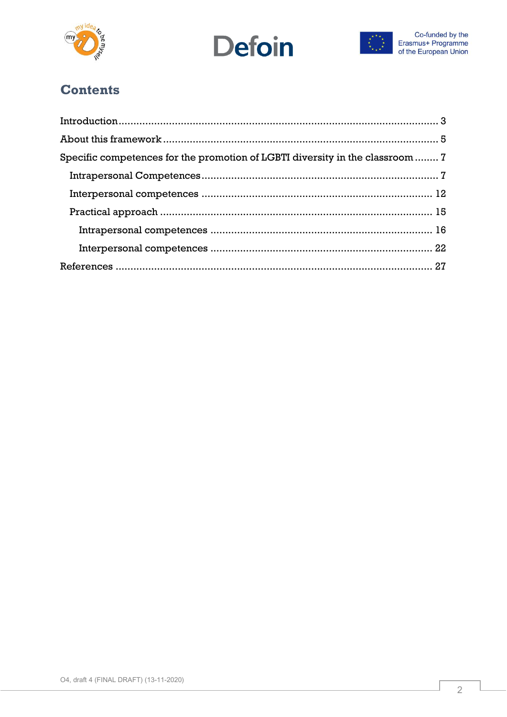





# **Contents**

| Specific competences for the promotion of LGBTI diversity in the classroom  7 |  |
|-------------------------------------------------------------------------------|--|
|                                                                               |  |
|                                                                               |  |
|                                                                               |  |
|                                                                               |  |
|                                                                               |  |
|                                                                               |  |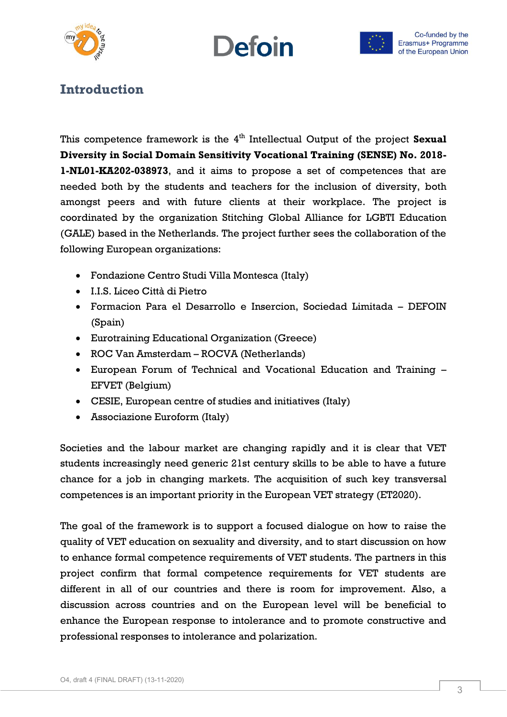





# <span id="page-2-0"></span>**Introduction**

This competence framework is the 4<sup>th</sup> Intellectual Output of the project Sexual **Diversity in Social Domain Sensitivity Vocational Training (SENSE) No. 2018- 1-NL01-KA202-038973**, and it aims to propose a set of competences that are needed both by the students and teachers for the inclusion of diversity, both amongst peers and with future clients at their workplace. The project is coordinated by the organization Stitching Global Alliance for LGBTI Education (GALE) based in the Netherlands. The project further sees the collaboration of the following European organizations:

- Fondazione Centro Studi Villa Montesca (Italy)
- I.I.S. Liceo Città di Pietro
- Formacion Para el Desarrollo e Insercion, Sociedad Limitada DEFOIN (Spain)
- Eurotraining Educational Organization (Greece)
- ROC Van Amsterdam ROCVA (Netherlands)
- European Forum of Technical and Vocational Education and Training EFVET (Belgium)
- CESIE, European centre of studies and initiatives (Italy)
- Associazione Euroform (Italy)

Societies and the labour market are changing rapidly and it is clear that VET students increasingly need generic 21st century skills to be able to have a future chance for a job in changing markets. The acquisition of such key transversal competences is an important priority in the European VET strategy (ET2020).

The goal of the framework is to support a focused dialogue on how to raise the quality of VET education on sexuality and diversity, and to start discussion on how to enhance formal competence requirements of VET students. The partners in this project confirm that formal competence requirements for VET students are different in all of our countries and there is room for improvement. Also, a discussion across countries and on the European level will be beneficial to enhance the European response to intolerance and to promote constructive and professional responses to intolerance and polarization.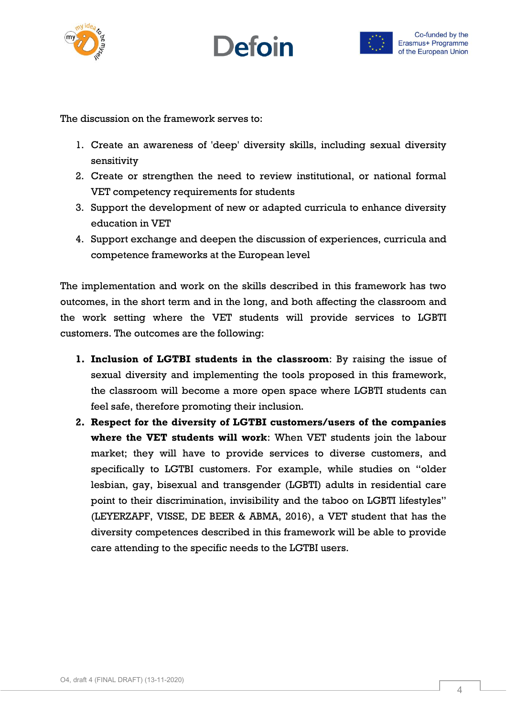





The discussion on the framework serves to:

- 1. Create an awareness of 'deep' diversity skills, including sexual diversity sensitivity
- 2. Create or strengthen the need to review institutional, or national formal VET competency requirements for students
- 3. Support the development of new or adapted curricula to enhance diversity education in VET
- 4. Support exchange and deepen the discussion of experiences, curricula and competence frameworks at the European level

The implementation and work on the skills described in this framework has two outcomes, in the short term and in the long, and both affecting the classroom and the work setting where the VET students will provide services to LGBTI customers. The outcomes are the following:

- **1. Inclusion of LGTBI students in the classroom**: By raising the issue of sexual diversity and implementing the tools proposed in this framework, the classroom will become a more open space where LGBTI students can feel safe, therefore promoting their inclusion.
- **2. Respect for the diversity of LGTBI customers/users of the companies where the VET students will work**: When VET students join the labour market; they will have to provide services to diverse customers, and specifically to LGTBI customers. For example, while studies on "older lesbian, gay, bisexual and transgender (LGBTI) adults in residential care point to their discrimination, invisibility and the taboo on LGBTI lifestyles" (LEYERZAPF, VISSE, DE BEER & ABMA, 2016), a VET student that has the diversity competences described in this framework will be able to provide care attending to the specific needs to the LGTBI users.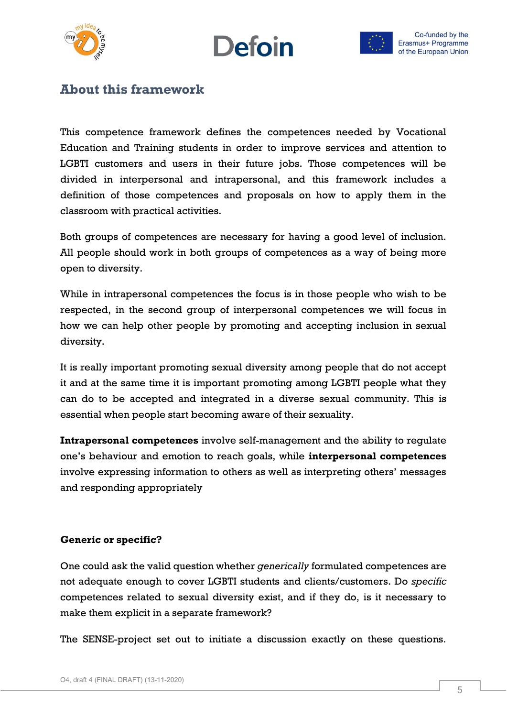





# <span id="page-4-0"></span>**About this framework**

This competence framework defines the competences needed by Vocational Education and Training students in order to improve services and attention to LGBTI customers and users in their future jobs. Those competences will be divided in interpersonal and intrapersonal, and this framework includes a definition of those competences and proposals on how to apply them in the classroom with practical activities.

Both groups of competences are necessary for having a good level of inclusion. All people should work in both groups of competences as a way of being more open to diversity.

While in intrapersonal competences the focus is in those people who wish to be respected, in the second group of interpersonal competences we will focus in how we can help other people by promoting and accepting inclusion in sexual diversity.

It is really important promoting sexual diversity among people that do not accept it and at the same time it is important promoting among LGBTI people what they can do to be accepted and integrated in a diverse sexual community. This is essential when people start becoming aware of their sexuality.

**Intrapersonal competences** involve self-management and the ability to regulate one's behaviour and emotion to reach goals, while **interpersonal competences** involve expressing information to others as well as interpreting others' messages and responding appropriately

#### **Generic or specific?**

One could ask the valid question whether *generically* formulated competences are not adequate enough to cover LGBTI students and clients/customers. Do *specific* competences related to sexual diversity exist, and if they do, is it necessary to make them explicit in a separate framework?

The SENSE-project set out to initiate a discussion exactly on these questions.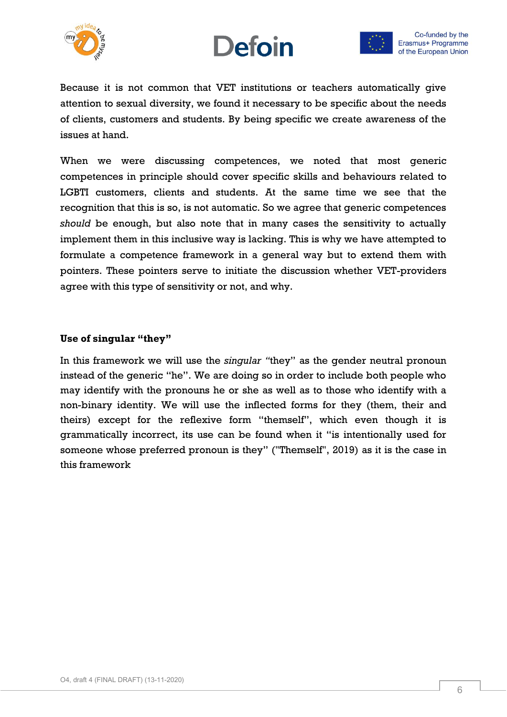





Because it is not common that VET institutions or teachers automatically give attention to sexual diversity, we found it necessary to be specific about the needs of clients, customers and students. By being specific we create awareness of the issues at hand.

When we were discussing competences, we noted that most generic competences in principle should cover specific skills and behaviours related to LGBTI customers, clients and students. At the same time we see that the recognition that this is so, is not automatic. So we agree that generic competences *should* be enough, but also note that in many cases the sensitivity to actually implement them in this inclusive way is lacking. This is why we have attempted to formulate a competence framework in a general way but to extend them with pointers. These pointers serve to initiate the discussion whether VET-providers agree with this type of sensitivity or not, and why.

#### **Use of singular "they"**

In this framework we will use the *singular "*they" as the gender neutral pronoun instead of the generic "he". We are doing so in order to include both people who may identify with the pronouns he or she as well as to those who identify with a non-binary identity. We will use the inflected forms for they (them, their and theirs) except for the reflexive form "themself", which even though it is grammatically incorrect, its use can be found when it "is intentionally used for someone whose preferred pronoun is they" ("Themself", 2019) as it is the case in this framework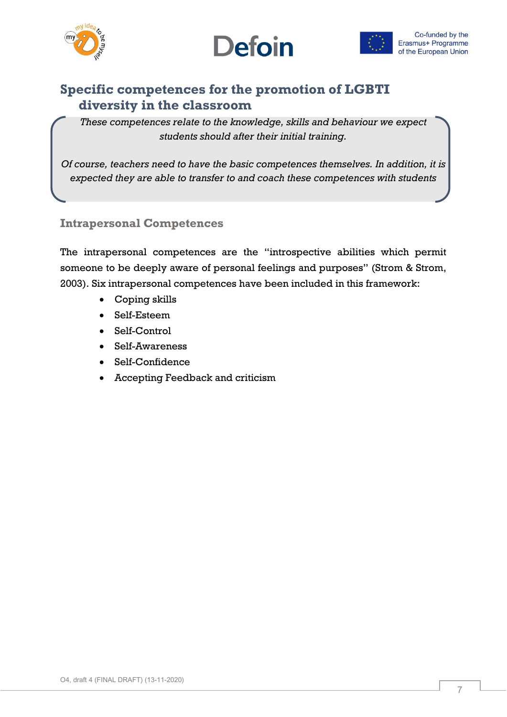



# <span id="page-6-0"></span>**Specific competences for the promotion of LGBTI diversity in the classroom**

*These competences relate to the knowledge, skills and behaviour we expect students should after their initial training.*

<span id="page-6-1"></span>*Of course, teachers need to have the basic competences themselves. In addition, it is expected they are able to transfer to and coach these competences with students*

## **Intrapersonal Competences**

The intrapersonal competences are the "introspective abilities which permit someone to be deeply aware of personal feelings and purposes" (Strom & Strom, 2003). Six intrapersonal competences have been included in this framework:

- Coping skills
- Self-Esteem
- Self-Control
- Self-Awareness
- Self-Confidence
- Accepting Feedback and criticism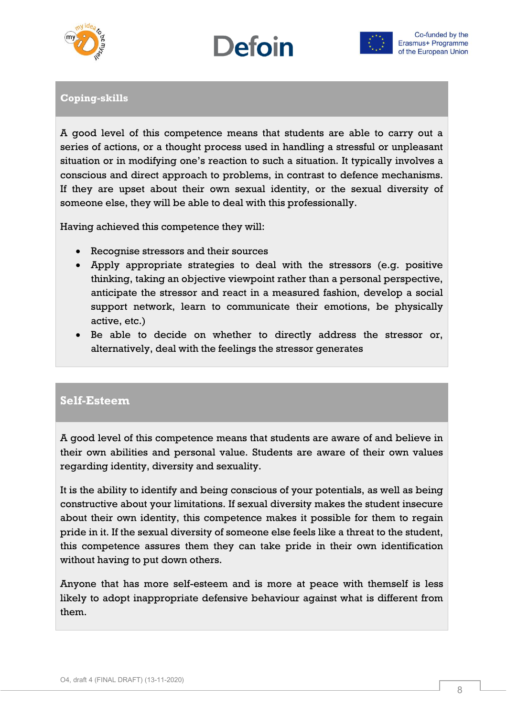





# **Coping-skills**

A good level of this competence means that students are able to carry out a series of actions, or a thought process used in handling a stressful or unpleasant situation or in modifying one's reaction to such a situation. It typically involves a conscious and direct approach to problems, in contrast to defence mechanisms. If they are upset about their own sexual identity, or the sexual diversity of someone else, they will be able to deal with this professionally.

Having achieved this competence they will:

- Recognise stressors and their sources
- Apply appropriate strategies to deal with the stressors (e.g. positive thinking, taking an objective viewpoint rather than a personal perspective, anticipate the stressor and react in a measured fashion, develop a social support network, learn to communicate their emotions, be physically active, etc.)
- Be able to decide on whether to directly address the stressor or, alternatively, deal with the feelings the stressor generates

## **Self-Esteem**

A good level of this competence means that students are aware of and believe in their own abilities and personal value. Students are aware of their own values regarding identity, diversity and sexuality.

It is the ability to identify and being conscious of your potentials, as well as being constructive about your limitations. If sexual diversity makes the student insecure about their own identity, this competence makes it possible for them to regain pride in it. If the sexual diversity of someone else feels like a threat to the student, this competence assures them they can take pride in their own identification without having to put down others.

Anyone that has more self-esteem and is more at peace with themself is less likely to adopt inappropriate defensive behaviour against what is different from them.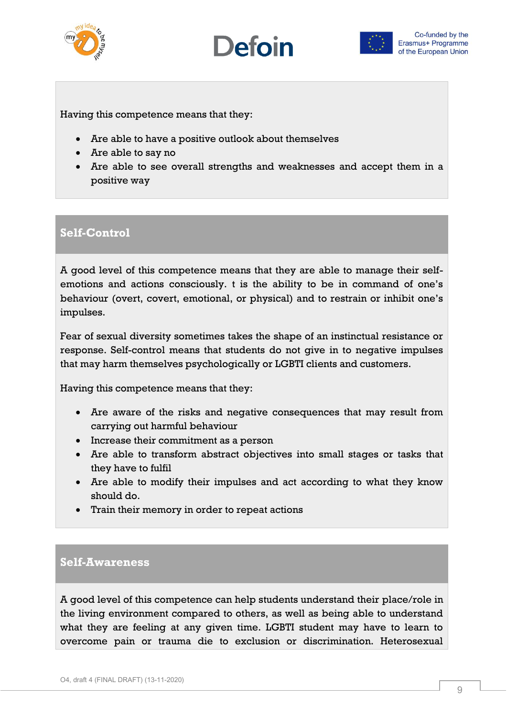





Having this competence means that they:

- Are able to have a positive outlook about themselves
- Are able to say no
- Are able to see overall strengths and weaknesses and accept them in a positive way

## **Self-Control**

A good level of this competence means that they are able to manage their selfemotions and actions consciously. t is the ability to be in command of one's behaviour (overt, covert, emotional, or physical) and to restrain or inhibit one's impulses.

Fear of sexual diversity sometimes takes the shape of an instinctual resistance or response. Self-control means that students do not give in to negative impulses that may harm themselves psychologically or LGBTI clients and customers.

Having this competence means that they:

- Are aware of the risks and negative consequences that may result from carrying out harmful behaviour
- Increase their commitment as a person
- Are able to transform abstract objectives into small stages or tasks that they have to fulfil
- Are able to modify their impulses and act according to what they know should do.
- Train their memory in order to repeat actions

## **Self-Awareness**

A good level of this competence can help students understand their place/role in the living environment compared to others, as well as being able to understand what they are feeling at any given time. LGBTI student may have to learn to overcome pain or trauma die to exclusion or discrimination. Heterosexual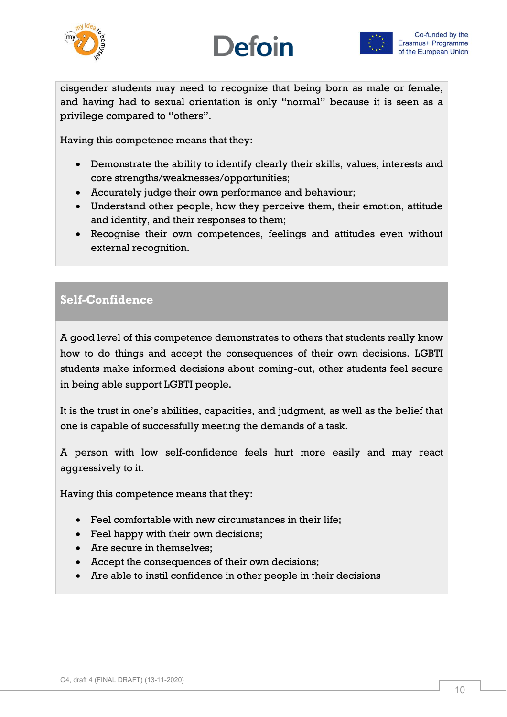





cisgender students may need to recognize that being born as male or female, and having had to sexual orientation is only "normal" because it is seen as a privilege compared to "others".

Having this competence means that they:

- Demonstrate the ability to identify clearly their skills, values, interests and core strengths/weaknesses/opportunities;
- Accurately judge their own performance and behaviour;
- Understand other people, how they perceive them, their emotion, attitude and identity, and their responses to them;
- Recognise their own competences, feelings and attitudes even without external recognition.

# **Self-Confidence**

A good level of this competence demonstrates to others that students really know how to do things and accept the consequences of their own decisions. LGBTI students make informed decisions about coming-out, other students feel secure in being able support LGBTI people.

It is the trust in one's abilities, capacities, and judgment, as well as the belief that one is capable of successfully meeting the demands of a task.

A person with low self-confidence feels hurt more easily and may react aggressively to it.

Having this competence means that they:

- Feel comfortable with new circumstances in their life;
- Feel happy with their own decisions;
- Are secure in themselves:
- Accept the consequences of their own decisions;
- Are able to instil confidence in other people in their decisions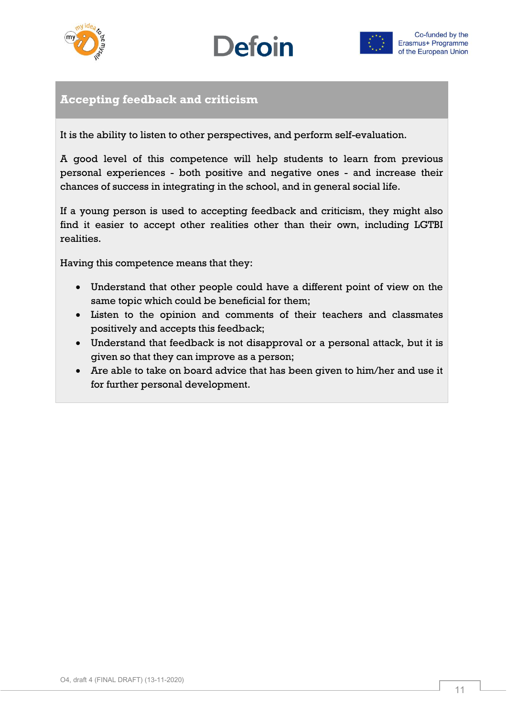





# **Accepting feedback and criticism**

It is the ability to listen to other perspectives, and perform self-evaluation.

A good level of this competence will help students to learn from previous personal experiences - both positive and negative ones - and increase their chances of success in integrating in the school, and in general social life.

If a young person is used to accepting feedback and criticism, they might also find it easier to accept other realities other than their own, including LGTBI realities.

Having this competence means that they:

- Understand that other people could have a different point of view on the same topic which could be beneficial for them;
- Listen to the opinion and comments of their teachers and classmates positively and accepts this feedback;
- Understand that feedback is not disapproval or a personal attack, but it is given so that they can improve as a person;
- Are able to take on board advice that has been given to him/her and use it for further personal development.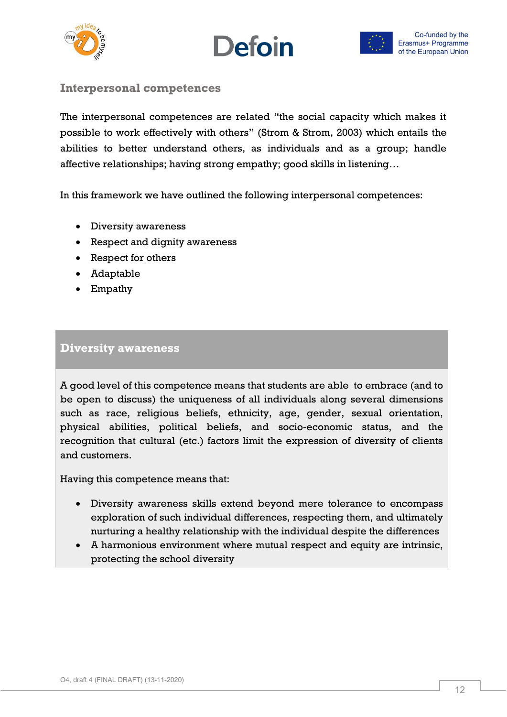



## <span id="page-11-0"></span>**Interpersonal competences**

The interpersonal competences are related "the social capacity which makes it possible to work effectively with others" (Strom & Strom, 2003) which entails the abilities to better understand others, as individuals and as a group; handle affective relationships; having strong empathy; good skills in listening…

In this framework we have outlined the following interpersonal competences:

- Diversity awareness
- Respect and dignity awareness
- Respect for others
- Adaptable
- Empathy

#### **Diversity awareness**

A good level of this competence means that students are able to embrace (and to be open to discuss) the uniqueness of all individuals along several dimensions such as race, religious beliefs, ethnicity, age, gender, sexual orientation, physical abilities, political beliefs, and socio-economic status, and the recognition that cultural (etc.) factors limit the expression of diversity of clients and customers.

Having this competence means that:

- Diversity awareness skills extend beyond mere tolerance to encompass exploration of such individual differences, respecting them, and ultimately nurturing a healthy relationship with the individual despite the differences
- A harmonious environment where mutual respect and equity are intrinsic, protecting the school diversity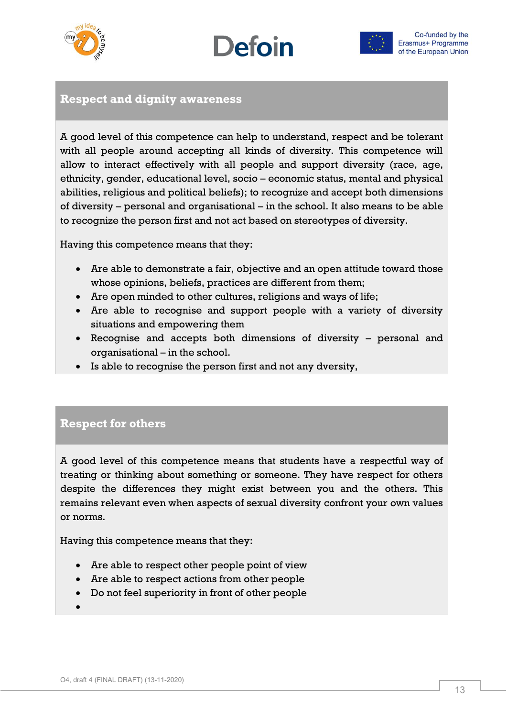





## **Respect and dignity awareness**

A good level of this competence can help to understand, respect and be tolerant with all people around accepting all kinds of diversity. This competence will allow to interact effectively with all people and support diversity (race, age, ethnicity, gender, educational level, socio – economic status, mental and physical abilities, religious and political beliefs); to recognize and accept both dimensions of diversity – personal and organisational – in the school. It also means to be able to recognize the person first and not act based on stereotypes of diversity.

Having this competence means that they:

- Are able to demonstrate a fair, objective and an open attitude toward those whose opinions, beliefs, practices are different from them;
- Are open minded to other cultures, religions and ways of life;
- Are able to recognise and support people with a variety of diversity situations and empowering them
- Recognise and accepts both dimensions of diversity personal and organisational – in the school.
- Is able to recognise the person first and not any dversity,

## **Respect for others**

A good level of this competence means that students have a respectful way of treating or thinking about something or someone. They have respect for others despite the differences they might exist between you and the others. This remains relevant even when aspects of sexual diversity confront your own values or norms.

Having this competence means that they:

- Are able to respect other people point of view
- Are able to respect actions from other people
- Do not feel superiority in front of other people
- $\bullet$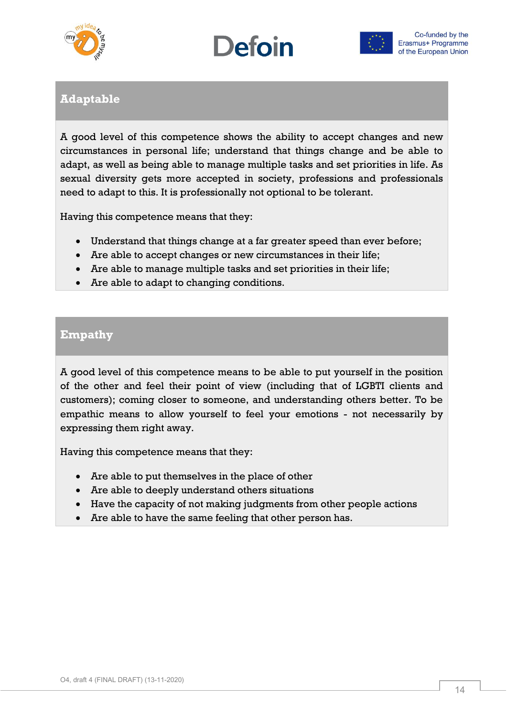





# **Adaptable**

A good level of this competence shows the ability to accept changes and new circumstances in personal life; understand that things change and be able to adapt, as well as being able to manage multiple tasks and set priorities in life. As sexual diversity gets more accepted in society, professions and professionals need to adapt to this. It is professionally not optional to be tolerant.

Having this competence means that they:

- Understand that things change at a far greater speed than ever before;
- Are able to accept changes or new circumstances in their life;
- Are able to manage multiple tasks and set priorities in their life;
- Are able to adapt to changing conditions.

# **Empathy**

A good level of this competence means to be able to put yourself in the position of the other and feel their point of view (including that of LGBTI clients and customers); coming closer to someone, and understanding others better. To be empathic means to allow yourself to feel your emotions - not necessarily by expressing them right away.

Having this competence means that they:

- Are able to put themselves in the place of other
- Are able to deeply understand others situations
- Have the capacity of not making judgments from other people actions
- Are able to have the same feeling that other person has.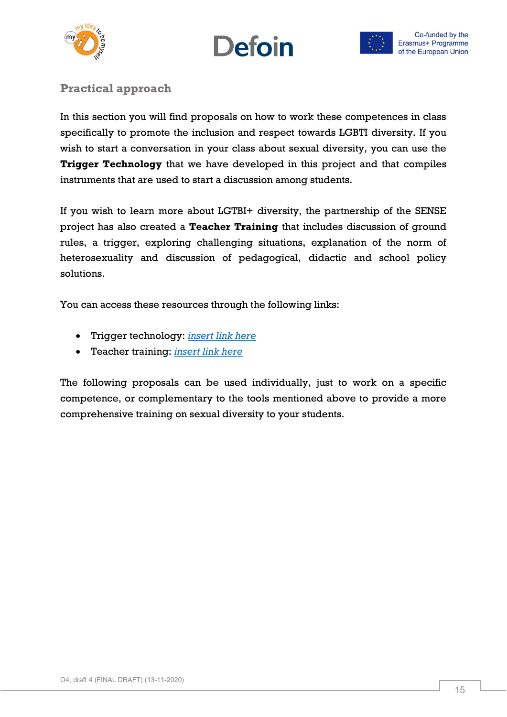





# <span id="page-14-0"></span>**Practical approach**

In this section you will find proposals on how to work these competences in class specifically to promote the inclusion and respect towards LGBTI diversity. If you wish to start a conversation in your class about sexual diversity, you can use the **Trigger Technology** that we have developed in this project and that compiles instruments that are used to start a discussion among students.

If you wish to learn more about LGTBI+ diversity, the partnership of the SENSE project has also created a **Teacher Training** that includes discussion of ground rules, a trigger, exploring challenging situations, explanation of the norm of heterosexuality and discussion of pedagogical, didactic and school policy solutions.

You can access these resources through the following links:

- Trigger technology: *insert link here*
- Teacher training: *insert link here*

The following proposals can be used individually, just to work on a specific competence, or complementary to the tools mentioned above to provide a more comprehensive training on sexual diversity to your students.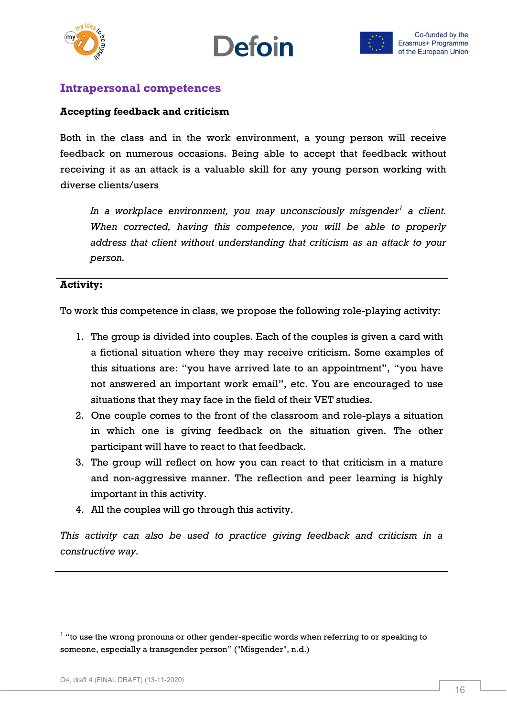





## <span id="page-15-0"></span>**Intrapersonal competences**

#### **Accepting feedback and criticism**

Both in the class and in the work environment, a young person will receive feedback on numerous occasions. Being able to accept that feedback without receiving it as an attack is a valuable skill for any young person working with diverse clients/users

*In a workplace environment, you may unconsciously misgender<sup>1</sup> a client. When corrected, having this competence, you will be able to properly address that client without understanding that criticism as an attack to your person.*

#### **Activity:**

To work this competence in class, we propose the following role-playing activity:

- 1. The group is divided into couples. Each of the couples is given a card with a fictional situation where they may receive criticism. Some examples of this situations are: "you have arrived late to an appointment", "you have not answered an important work email", etc. You are encouraged to use situations that they may face in the field of their VET studies.
- 2. One couple comes to the front of the classroom and role-plays a situation in which one is giving feedback on the situation given. The other participant will have to react to that feedback.
- 3. The group will reflect on how you can react to that criticism in a mature and non-aggressive manner. The reflection and peer learning is highly important in this activity.
- 4. All the couples will go through this activity.

*This activity can also be used to practice giving feedback and criticism in a constructive way.*

-

 $<sup>1</sup>$  "to use the wrong pronouns or other gender-specific words when referring to or speaking to</sup> someone, especially a transgender person" ("Misgender", n.d.)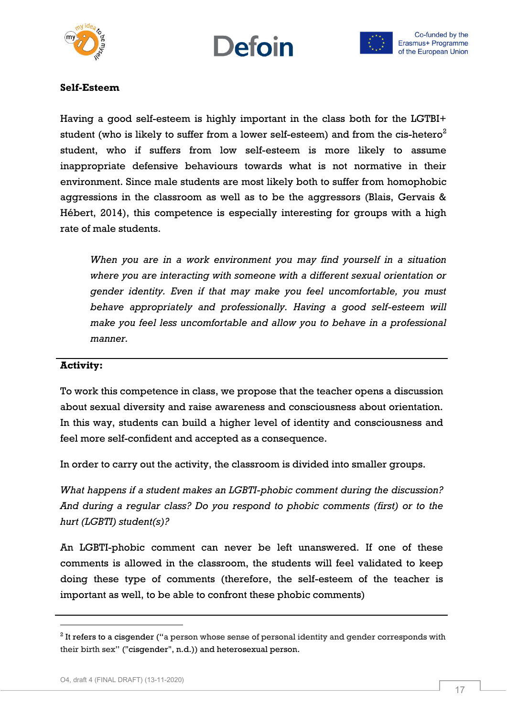





#### **Self-Esteem**

Having a good self-esteem is highly important in the class both for the LGTBI+ student (who is likely to suffer from a lower self-esteem) and from the cis-hetero<sup>2</sup> student, who if suffers from low self-esteem is more likely to assume inappropriate defensive behaviours towards what is not normative in their environment. Since male students are most likely both to suffer from homophobic aggressions in the classroom as well as to be the aggressors (Blais, Gervais & Hébert, 2014), this competence is especially interesting for groups with a high rate of male students.

*When you are in a work environment you may find yourself in a situation where you are interacting with someone with a different sexual orientation or gender identity. Even if that may make you feel uncomfortable, you must behave appropriately and professionally. Having a good self-esteem will make you feel less uncomfortable and allow you to behave in a professional manner.*

#### **Activity:**

To work this competence in class, we propose that the teacher opens a discussion about sexual diversity and raise awareness and consciousness about orientation. In this way, students can build a higher level of identity and consciousness and feel more self-confident and accepted as a consequence.

In order to carry out the activity, the classroom is divided into smaller groups.

*What happens if a student makes an LGBTI-phobic comment during the discussion? And during a regular class? Do you respond to phobic comments (first) or to the hurt (LGBTI) student(s)?*

An LGBTI-phobic comment can never be left unanswered. If one of these comments is allowed in the classroom, the students will feel validated to keep doing these type of comments (therefore, the self-esteem of the teacher is important as well, to be able to confront these phobic comments)

-

 $^{\rm 2}$  It refers to a cisgender ("a person whose sense of personal identity and gender corresponds with their birth sex" ("cisgender", n.d.)) and heterosexual person.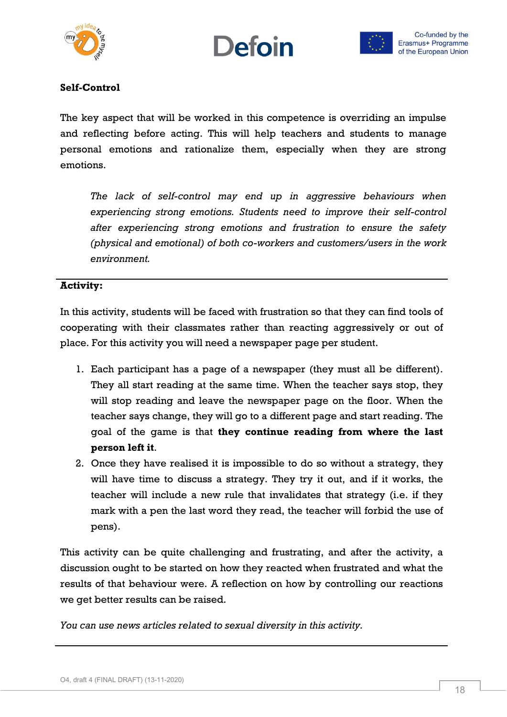





#### **Self-Control**

The key aspect that will be worked in this competence is overriding an impulse and reflecting before acting. This will help teachers and students to manage personal emotions and rationalize them, especially when they are strong emotions.

*The lack of self-control may end up in aggressive behaviours when experiencing strong emotions. Students need to improve their self-control after experiencing strong emotions and frustration to ensure the safety (physical and emotional) of both co-workers and customers/users in the work environment.*

#### **Activity:**

In this activity, students will be faced with frustration so that they can find tools of cooperating with their classmates rather than reacting aggressively or out of place. For this activity you will need a newspaper page per student.

- 1. Each participant has a page of a newspaper (they must all be different). They all start reading at the same time. When the teacher says stop, they will stop reading and leave the newspaper page on the floor. When the teacher says change, they will go to a different page and start reading. The goal of the game is that **they continue reading from where the last person left it**.
- 2. Once they have realised it is impossible to do so without a strategy, they will have time to discuss a strategy. They try it out, and if it works, the teacher will include a new rule that invalidates that strategy (i.e. if they mark with a pen the last word they read, the teacher will forbid the use of pens).

This activity can be quite challenging and frustrating, and after the activity, a discussion ought to be started on how they reacted when frustrated and what the results of that behaviour were. A reflection on how by controlling our reactions we get better results can be raised.

*You can use news articles related to sexual diversity in this activity.*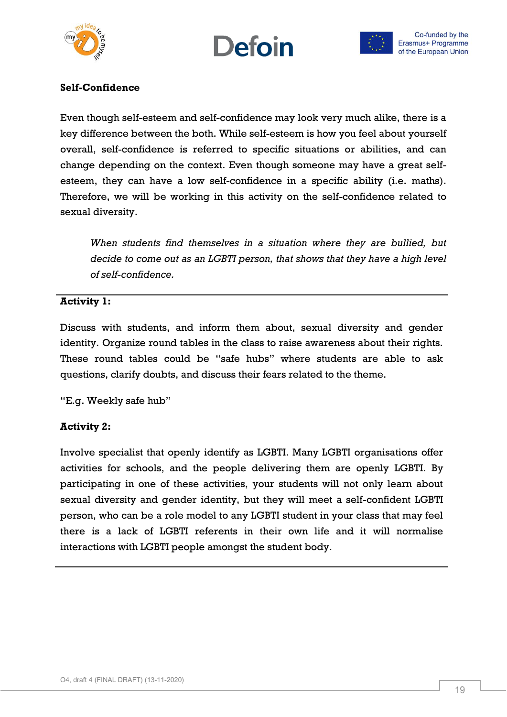





## **Self-Confidence**

Even though self-esteem and self-confidence may look very much alike, there is a key difference between the both. While self-esteem is how you feel about yourself overall, self-confidence is referred to specific situations or abilities, and can change depending on the context. Even though someone may have a great selfesteem, they can have a low self-confidence in a specific ability (i.e. maths). Therefore, we will be working in this activity on the self-confidence related to sexual diversity.

*When students find themselves in a situation where they are bullied, but decide to come out as an LGBTI person, that shows that they have a high level of self-confidence.*

#### **Activity 1:**

Discuss with students, and inform them about, sexual diversity and gender identity. Organize round tables in the class to raise awareness about their rights. These round tables could be "safe hubs" where students are able to ask questions, clarify doubts, and discuss their fears related to the theme.

"E.g. Weekly safe hub"

## **Activity 2:**

Involve specialist that openly identify as LGBTI. Many LGBTI organisations offer activities for schools, and the people delivering them are openly LGBTI. By participating in one of these activities, your students will not only learn about sexual diversity and gender identity, but they will meet a self-confident LGBTI person, who can be a role model to any LGBTI student in your class that may feel there is a lack of LGBTI referents in their own life and it will normalise interactions with LGBTI people amongst the student body.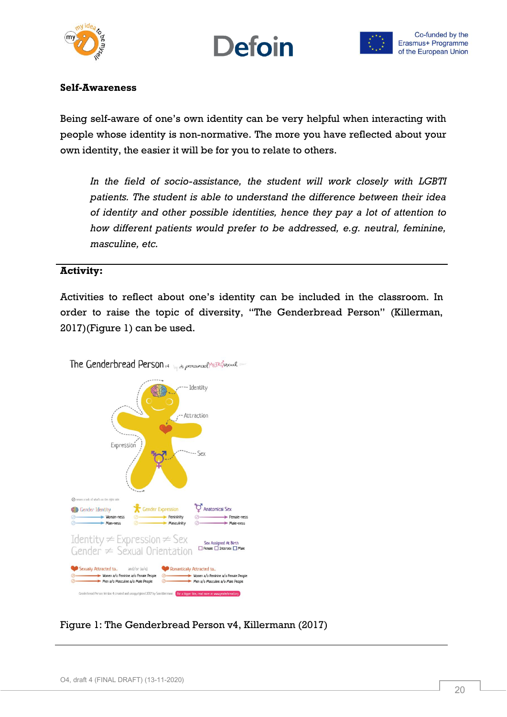





#### **Self-Awareness**

Being self-aware of one's own identity can be very helpful when interacting with people whose identity is non-normative. The more you have reflected about your own identity, the easier it will be for you to relate to others.

*In the field of socio-assistance, the student will work closely with LGBTI patients. The student is able to understand the difference between their idea of identity and other possible identities, hence they pay a lot of attention to how different patients would prefer to be addressed, e.g. neutral, feminine, masculine, etc.*

#### **Activity:**

Activities to reflect about one's identity can be included in the classroom. In order to raise the topic of diversity, "The Genderbread Person" (Killerman, 2017)(Figure 1) can be used.



Figure 1: The Genderbread Person v4, Killermann (2017)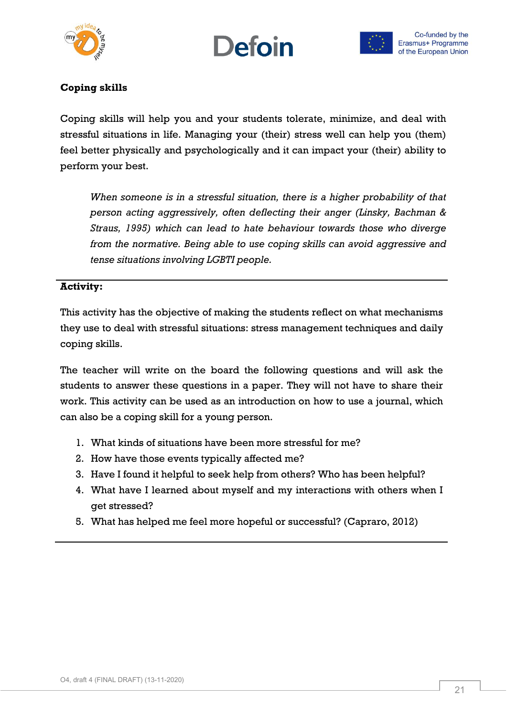





## **Coping skills**

Coping skills will help you and your students tolerate, minimize, and deal with stressful situations in life. Managing your (their) stress well can help you (them) feel better physically and psychologically and it can impact your (their) ability to perform your best.

*When someone is in a stressful situation, there is a higher probability of that person acting aggressively, often deflecting their anger (Linsky, Bachman & Straus, 1995) which can lead to hate behaviour towards those who diverge from the normative. Being able to use coping skills can avoid aggressive and tense situations involving LGBTI people.*

#### **Activity:**

This activity has the objective of making the students reflect on what mechanisms they use to deal with stressful situations: stress management techniques and daily coping skills.

The teacher will write on the board the following questions and will ask the students to answer these questions in a paper. They will not have to share their work. This activity can be used as an introduction on how to use a journal, which can also be a coping skill for a young person.

- 1. What kinds of situations have been more stressful for me?
- 2. How have those events typically affected me?
- 3. Have I found it helpful to seek help from others? Who has been helpful?
- 4. What have I learned about myself and my interactions with others when I get stressed?
- 5. What has helped me feel more hopeful or successful? (Capraro, 2012)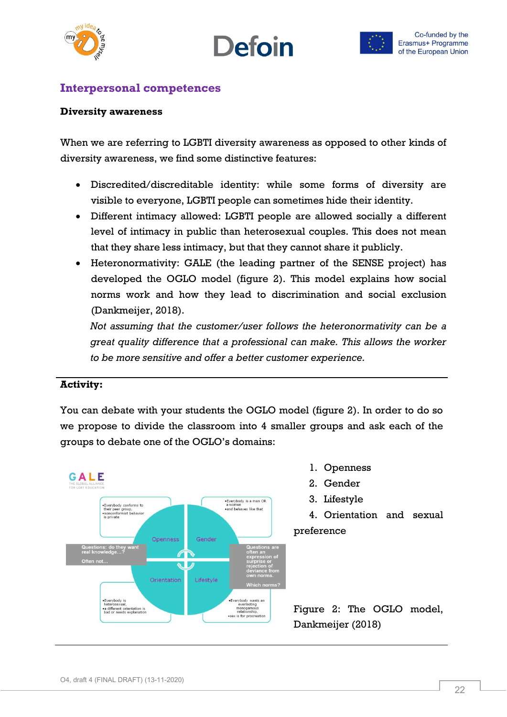





# <span id="page-21-0"></span>**Interpersonal competences**

#### **Diversity awareness**

When we are referring to LGBTI diversity awareness as opposed to other kinds of diversity awareness, we find some distinctive features:

- Discredited/discreditable identity: while some forms of diversity are visible to everyone, LGBTI people can sometimes hide their identity.
- Different intimacy allowed: LGBTI people are allowed socially a different level of intimacy in public than heterosexual couples. This does not mean that they share less intimacy, but that they cannot share it publicly.
- Heteronormativity: GALE (the leading partner of the SENSE project) has developed the OGLO model (figure 2). This model explains how social norms work and how they lead to discrimination and social exclusion (Dankmeijer, 2018).

*Not assuming that the customer/user follows the heteronormativity can be a great quality difference that a professional can make. This allows the worker to be more sensitive and offer a better customer experience.*

#### **Activity:**

You can debate with your students the OGLO model (figure 2). In order to do so we propose to divide the classroom into 4 smaller groups and ask each of the groups to debate one of the OGLO's domains:

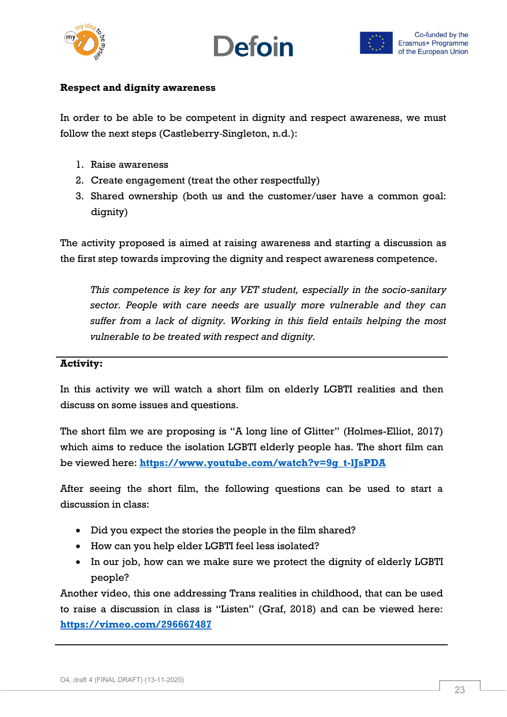



### **Respect and dignity awareness**

In order to be able to be competent in dignity and respect awareness, we must follow the next steps (Castleberry‐Singleton, n.d.):

- 1. Raise awareness
- 2. Create engagement (treat the other respectfully)
- 3. Shared ownership (both us and the customer/user have a common goal: dignity)

The activity proposed is aimed at raising awareness and starting a discussion as the first step towards improving the dignity and respect awareness competence.

*This competence is key for any VET student, especially in the socio-sanitary sector. People with care needs are usually more vulnerable and they can suffer from a lack of dignity. Working in this field entails helping the most vulnerable to be treated with respect and dignity.*

#### **Activity:**

In this activity we will watch a short film on elderly LGBTI realities and then discuss on some issues and questions.

The short film we are proposing is "A long line of Glitter" (Holmes-Elliot, 2017) which aims to reduce the isolation LGBTI elderly people has. The short film can be viewed here: **[https://www.youtube.com/watch?v=9g\\_t-lJsPDA](https://www.youtube.com/watch?v=9g_t-lJsPDA)**

After seeing the short film, the following questions can be used to start a discussion in class:

- Did you expect the stories the people in the film shared?
- How can you help elder LGBTI feel less isolated?
- In our job, how can we make sure we protect the dignity of elderly LGBTI people?

Another video, this one addressing Trans realities in childhood, that can be used to raise a discussion in class is "Listen" (Graf, 2018) and can be viewed here: **<https://vimeo.com/296667487>**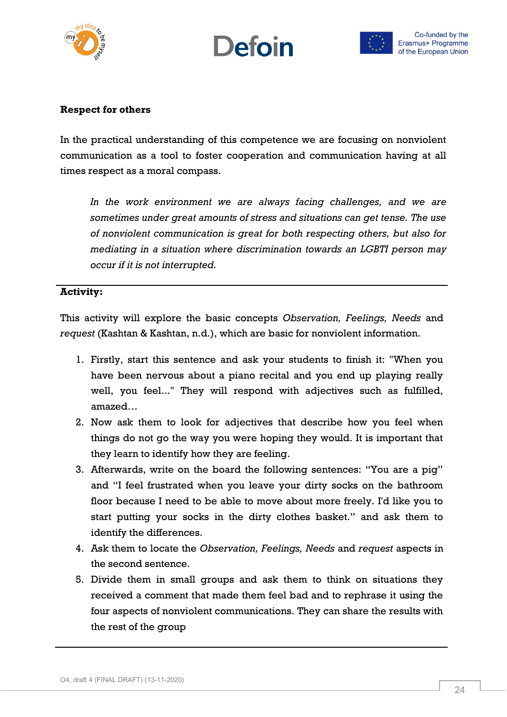





#### **Respect for others**

In the practical understanding of this competence we are focusing on nonviolent communication as a tool to foster cooperation and communication having at all times respect as a moral compass.

*In the work environment we are always facing challenges, and we are sometimes under great amounts of stress and situations can get tense. The use of nonviolent communication is great for both respecting others, but also for mediating in a situation where discrimination towards an LGBTI person may occur if it is not interrupted.*

#### **Activity:**

This activity will explore the basic concepts *Observation, Feelings, Needs* and *request* (Kashtan & Kashtan, n.d.), which are basic for nonviolent information.

- 1. Firstly, start this sentence and ask your students to finish it: "When you have been nervous about a piano recital and you end up playing really well, you feel..." They will respond with adjectives such as fulfilled, amazed…
- 2. Now ask them to look for adjectives that describe how you feel when things do not go the way you were hoping they would. It is important that they learn to identify how they are feeling.
- 3. Afterwards, write on the board the following sentences: "You are a pig" and "I feel frustrated when you leave your dirty socks on the bathroom floor because I need to be able to move about more freely. I'd like you to start putting your socks in the dirty clothes basket." and ask them to identify the differences.
- 4. Ask them to locate the *Observation, Feelings, Needs* and *request* aspects in the second sentence.
- 5. Divide them in small groups and ask them to think on situations they received a comment that made them feel bad and to rephrase it using the four aspects of nonviolent communications. They can share the results with the rest of the group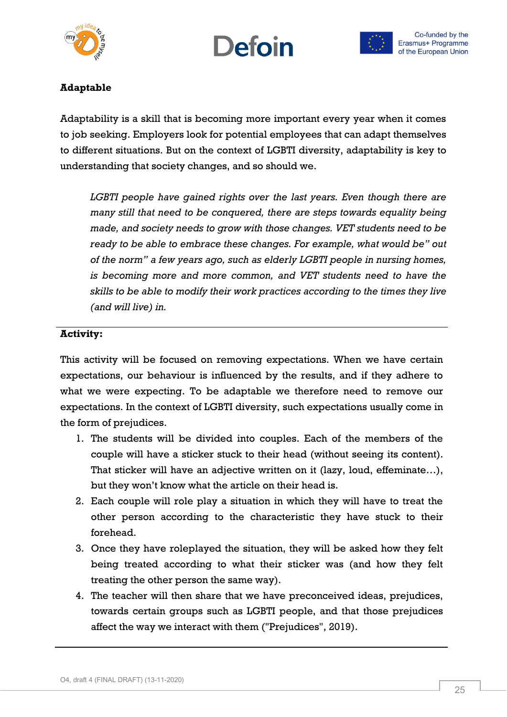





## **Adaptable**

Adaptability is a skill that is becoming more important every year when it comes to job seeking. Employers look for potential employees that can adapt themselves to different situations. But on the context of LGBTI diversity, adaptability is key to understanding that society changes, and so should we.

*LGBTI people have gained rights over the last years. Even though there are many still that need to be conquered, there are steps towards equality being made, and society needs to grow with those changes. VET students need to be ready to be able to embrace these changes. For example, what would be" out of the norm" a few years ago, such as elderly LGBTI people in nursing homes, is becoming more and more common, and VET students need to have the skills to be able to modify their work practices according to the times they live (and will live) in.*

## **Activity:**

This activity will be focused on removing expectations. When we have certain expectations, our behaviour is influenced by the results, and if they adhere to what we were expecting. To be adaptable we therefore need to remove our expectations. In the context of LGBTI diversity, such expectations usually come in the form of prejudices.

- 1. The students will be divided into couples. Each of the members of the couple will have a sticker stuck to their head (without seeing its content). That sticker will have an adjective written on it (lazy, loud, effeminate…), but they won't know what the article on their head is.
- 2. Each couple will role play a situation in which they will have to treat the other person according to the characteristic they have stuck to their forehead.
- 3. Once they have roleplayed the situation, they will be asked how they felt being treated according to what their sticker was (and how they felt treating the other person the same way).
- 4. The teacher will then share that we have preconceived ideas, prejudices, towards certain groups such as LGBTI people, and that those prejudices affect the way we interact with them ("Prejudices", 2019).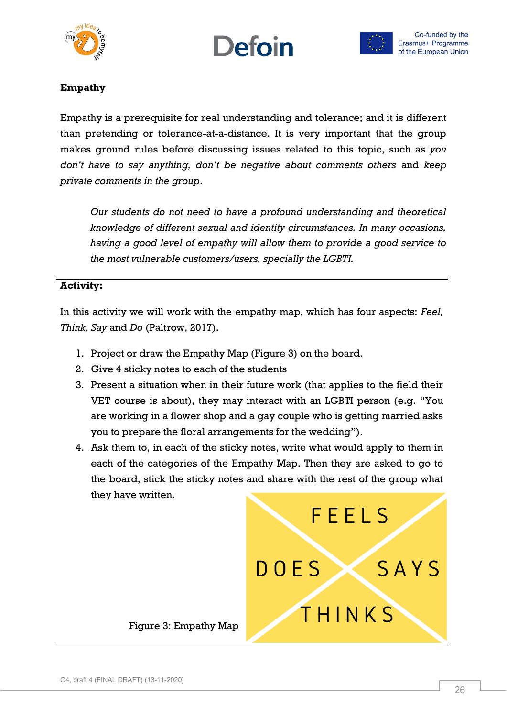





## **Empathy**

Empathy is a prerequisite for real understanding and tolerance; and it is different than pretending or tolerance-at-a-distance. It is very important that the group makes ground rules before discussing issues related to this topic, such as *you don't have to say anything, don't be negative about comments others* and *keep private comments in the group*.

*Our students do not need to have a profound understanding and theoretical knowledge of different sexual and identity circumstances. In many occasions, having a good level of empathy will allow them to provide a good service to the most vulnerable customers/users, specially the LGBTI.*

#### **Activity:**

In this activity we will work with the empathy map, which has four aspects: *Feel, Think, Say* and *Do* (Paltrow, 2017).

- 1. Project or draw the Empathy Map (Figure 3) on the board.
- 2. Give 4 sticky notes to each of the students
- 3. Present a situation when in their future work (that applies to the field their VET course is about), they may interact with an LGBTI person (e.g. "You are working in a flower shop and a gay couple who is getting married asks you to prepare the floral arrangements for the wedding").
- 4. Ask them to, in each of the sticky notes, write what would apply to them in each of the categories of the Empathy Map. Then they are asked to go to the board, stick the sticky notes and share with the rest of the group what they have written.

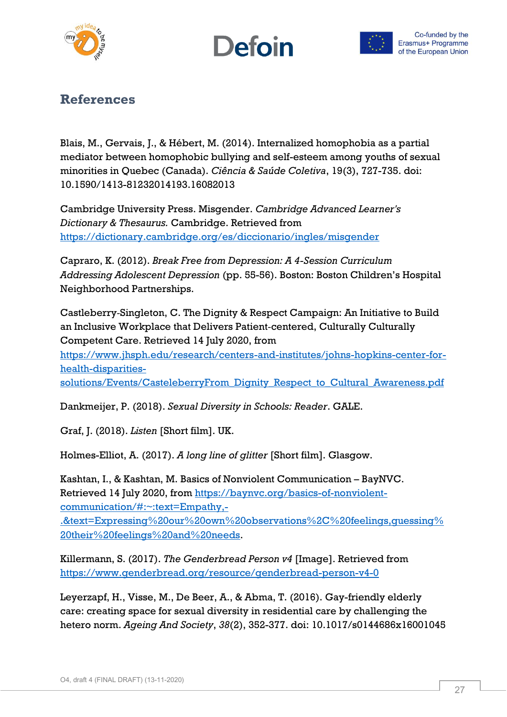





# <span id="page-26-0"></span>**References**

Blais, M., Gervais, J., & Hébert, M. (2014). Internalized homophobia as a partial mediator between homophobic bullying and self-esteem among youths of sexual minorities in Quebec (Canada). *Ciência & Saúde Coletiva*, 19(3), 727-735. doi: 10.1590/1413-81232014193.16082013

Cambridge University Press. Misgender. *Cambridge Advanced Learner's Dictionary & Thesaurus.* Cambridge. Retrieved from <https://dictionary.cambridge.org/es/diccionario/ingles/misgender>

Capraro, K. (2012). *Break Free from Depression: A 4-Session Curriculum Addressing Adolescent Depression* (pp. 55-56). Boston: Boston Children's Hospital Neighborhood Partnerships.

Castleberry‐Singleton, C. The Dignity & Respect Campaign: An Initiative to Build an Inclusive Workplace that Delivers Patient‐centered, Culturally Culturally Competent Care. Retrieved 14 July 2020, from [https://www.jhsph.edu/research/centers-and-institutes/johns-hopkins-center-for](https://www.jhsph.edu/research/centers-and-institutes/johns-hopkins-center-for-health-disparities-solutions/Events/CasteleberryFrom_Dignity_Respect_to_Cultural_Awareness.pdf)[health-disparities-](https://www.jhsph.edu/research/centers-and-institutes/johns-hopkins-center-for-health-disparities-solutions/Events/CasteleberryFrom_Dignity_Respect_to_Cultural_Awareness.pdf)

[solutions/Events/CasteleberryFrom\\_Dignity\\_Respect\\_to\\_Cultural\\_Awareness.pdf](https://www.jhsph.edu/research/centers-and-institutes/johns-hopkins-center-for-health-disparities-solutions/Events/CasteleberryFrom_Dignity_Respect_to_Cultural_Awareness.pdf)

Dankmeijer, P. (2018). *Sexual Diversity in Schools: Reader*. GALE.

Graf, J. (2018). *Listen* [Short film]. UK.

Holmes-Elliot, A. (2017). *A long line of glitter* [Short film]. Glasgow.

Kashtan, I., & Kashtan, M. Basics of Nonviolent Communication – BayNVC. Retrieved 14 July 2020, from [https://baynvc.org/basics-of-nonviolent](https://baynvc.org/basics-of-nonviolent-communication/#:~:text=Empathy,-.&text=Expressing%20our%20own%20observations%2C%20feelings,guessing%20their%20feelings%20and%20needs)[communication/#:~:text=Empathy,-](https://baynvc.org/basics-of-nonviolent-communication/#:~:text=Empathy,-.&text=Expressing%20our%20own%20observations%2C%20feelings,guessing%20their%20feelings%20and%20needs)

[.&text=Expressing%20our%20own%20observations%2C%20feelings,guessing%](https://baynvc.org/basics-of-nonviolent-communication/#:~:text=Empathy,-.&text=Expressing%20our%20own%20observations%2C%20feelings,guessing%20their%20feelings%20and%20needs) [20their%20feelings%20and%20needs.](https://baynvc.org/basics-of-nonviolent-communication/#:~:text=Empathy,-.&text=Expressing%20our%20own%20observations%2C%20feelings,guessing%20their%20feelings%20and%20needs)

Killermann, S. (2017). *The Genderbread Person v4* [Image]. Retrieved from <https://www.genderbread.org/resource/genderbread-person-v4-0>

Leyerzapf, H., Visse, M., De Beer, A., & Abma, T. (2016). Gay-friendly elderly care: creating space for sexual diversity in residential care by challenging the hetero norm. *Ageing And Society*, *38*(2), 352-377. doi: 10.1017/s0144686x16001045